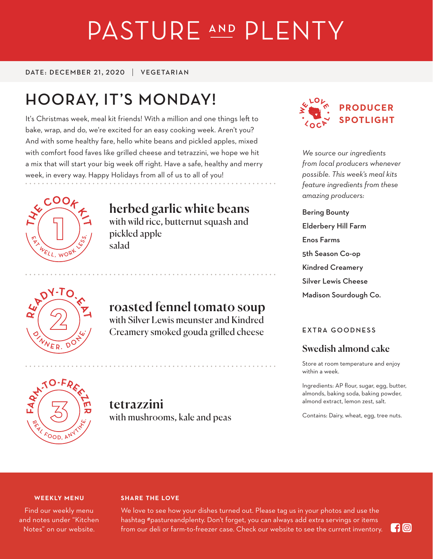# PASTURE AND PLENTY

DATE: DECEMBER 21, 2020 VEGETARIAN

## **HOORAY, IT'S MONDAY!**

It's Christmas week, meal kit friends! With a million and one things left to bake, wrap, and do, we're excited for an easy cooking week. Aren't you? And with some healthy fare, hello white beans and pickled apples, mixed with comfort food faves like grilled cheese and tetrazzini, we hope we hit a mix that will start your big week off right. Have a safe, healthy and merry week, in every way. Happy Holidays from all of us to all of you!



## herbed garlic white beans

with wild rice, butternut squash and pickled apple salad



## roasted fennel tomato soup

with Silver Lewis meunster and Kindred Creamery smoked gouda grilled cheese



*We source our ingredients from local producers whenever possible. This week's meal kits feature ingredients from these amazing producers:*

Bering Bounty Elderbery Hill Farm Enos Farms 5th Season Co-op Kindred Creamery Silver Lewis Cheese Madison Sourdough Co.

#### **EXTRA GOODNESS**

### Swedish almond cake

Store at room temperature and enjoy within a week.

Ingredients: AP flour, sugar, egg, butter, almonds, baking soda, baking powder, almond extract, lemon zest, salt.

Contains: Dairy, wheat, egg, tree nuts.



## tetrazzini with mushrooms, kale and peas

#### **WEEKLY MENU**

Find our weekly menu and notes under "Kitchen Notes" on our website.

#### **SHARE THE LOVE**

We love to see how your dishes turned out. Please tag us in your photos and use the hashtag #pastureandplenty. Don't forget, you can always add extra servings or items from our deli or farm-to-freezer case. Check our website to see the current inventory.